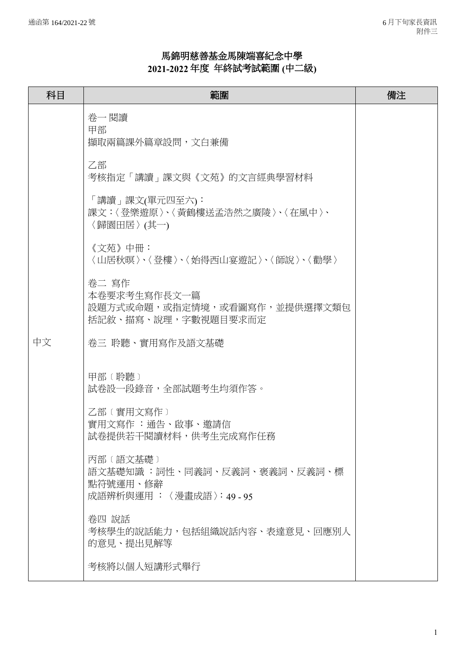## 馬錦明慈善基金馬陳端喜紀念中學 **2021-2022** 年度年終試考試範圍 **(**中二級**)**

| 科目 | 範圍                                                                               | 備注 |
|----|----------------------------------------------------------------------------------|----|
|    | 卷一 閱讀<br>甲部<br>擷取兩篇課外篇章設問,文白兼備                                                   |    |
|    | 乙部<br>考核指定「講讀」課文與《文苑》的文言經典學習材料                                                   |    |
|    | 「講讀」課文(單元四至六):<br>課文:〈登樂遊原〉、〈黃鶴樓送孟浩然之廣陵〉、〈在風中〉、<br>〈歸園田居〉(其一)                    |    |
|    | 《文苑》中冊:<br>〈山居秋暝〉、〈登樓〉、〈始得西山宴遊記〉、〈師說〉、〈勸學〉                                       |    |
|    | 卷二 寫作<br>本卷要求考生寫作長文一篇<br>設題方式或命題,或指定情境,或看圖寫作,並提供選擇文類包<br>括記敘、描寫、說理,字數視題目要求而定     |    |
| 中文 | 卷三 聆聽、實用寫作及語文基礎                                                                  |    |
|    | 甲部 (聆聽)<br>試卷設一段錄音,全部試題考生均須作答。                                                   |    |
|    | 乙部〔實用文寫作〕<br>實用文寫作 :通告、啟事、邀請信<br>試卷提供若干閱讀材料,供考生完成寫作任務                            |    |
|    | 丙部 (語文基礎)<br>語文基礎知識 :詞性、同義詞、反義詞、褒義詞、反義詞、標<br>點符號運用、修辭<br>成語辨析與運用 :〈漫畫成語〉:49 - 95 |    |
|    | 卷四 說話<br>考核學生的說話能力,包括組織說話內容、表達意見、回應別人<br>的意見、提出見解等                               |    |
|    | 考核將以個人短講形式舉行                                                                     |    |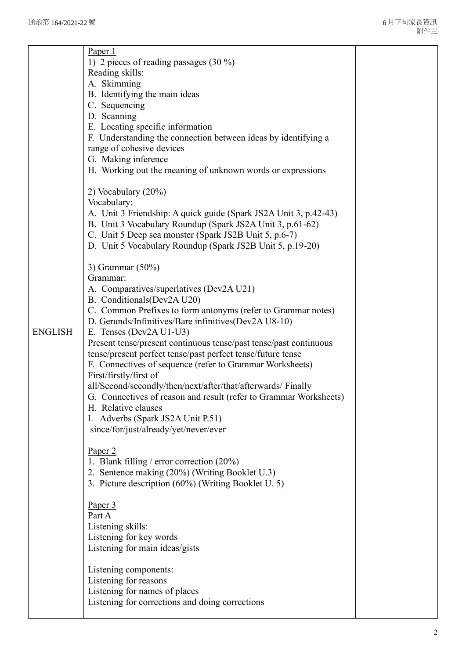|                | Paper 1                                                                 |  |
|----------------|-------------------------------------------------------------------------|--|
|                | 1) 2 pieces of reading passages $(30\%)$                                |  |
|                | Reading skills:                                                         |  |
|                | A. Skimming                                                             |  |
|                | B. Identifying the main ideas                                           |  |
|                | C. Sequencing                                                           |  |
|                | D. Scanning                                                             |  |
|                | E. Locating specific information                                        |  |
|                | F. Understanding the connection between ideas by identifying a          |  |
|                | range of cohesive devices                                               |  |
|                | G. Making inference                                                     |  |
|                | H. Working out the meaning of unknown words or expressions              |  |
|                | 2) Vocabulary (20%)<br>Vocabulary:                                      |  |
|                | A. Unit 3 Friendship: A quick guide (Spark JS2A Unit 3, p.42-43)        |  |
|                | B. Unit 3 Vocabulary Roundup (Spark JS2A Unit 3, p.61-62)               |  |
|                | C. Unit 5 Deep sea monster (Spark JS2B Unit 5, p.6-7)                   |  |
|                | D. Unit 5 Vocabulary Roundup (Spark JS2B Unit 5, p.19-20)               |  |
|                |                                                                         |  |
|                | 3) Grammar $(50\%)$                                                     |  |
|                | Grammar:                                                                |  |
|                | A. Comparatives/superlatives (Dev2A U21)<br>B. Conditionals (Dev2A U20) |  |
|                | C. Common Prefixes to form antonyms (refer to Grammar notes)            |  |
|                | D. Gerunds/Infinitives/Bare infinitives(Dev2A U8-10)                    |  |
| <b>ENGLISH</b> | E. Tenses (Dev2A U1-U3)                                                 |  |
|                | Present tense/present continuous tense/past tense/past continuous       |  |
|                | tense/present perfect tense/past perfect tense/future tense             |  |
|                | F. Connectives of sequence (refer to Grammar Worksheets)                |  |
|                | First/firstly/first of                                                  |  |
|                | all/Second/secondly/then/next/after/that/afterwards/ Finally            |  |
|                | G. Connectives of reason and result (refer to Grammar Worksheets)       |  |
|                | H. Relative clauses                                                     |  |
|                | I. Adverbs (Spark JS2A Unit P.51)                                       |  |
|                | since/for/just/already/yet/never/ever                                   |  |
|                | Paper <sub>2</sub>                                                      |  |
|                | 1. Blank filling / error correction $(20\%)$                            |  |
|                | 2. Sentence making (20%) (Writing Booklet U.3)                          |  |
|                | 3. Picture description (60%) (Writing Booklet U. 5)                     |  |
|                |                                                                         |  |
|                | Paper 3                                                                 |  |
|                | Part A                                                                  |  |
|                | Listening skills:                                                       |  |
|                | Listening for key words                                                 |  |
|                | Listening for main ideas/gists                                          |  |
|                | Listening components:                                                   |  |
|                | Listening for reasons                                                   |  |
|                | Listening for names of places                                           |  |
|                | Listening for corrections and doing corrections                         |  |
|                |                                                                         |  |